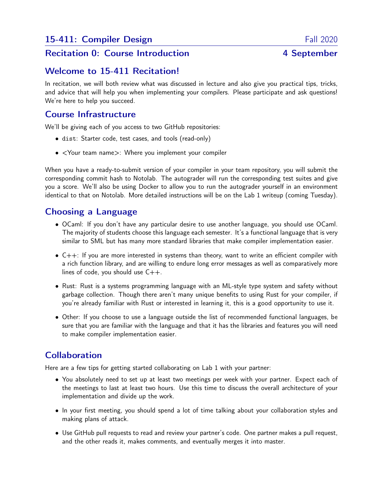# Recitation 0: Course Introduction **4 September**

## Welcome to 15-411 Recitation!

In recitation, we will both review what was discussed in lecture and also give you practical tips, tricks, and advice that will help you when implementing your compilers. Please participate and ask questions! We're here to help you succeed.

## Course Infrastructure

We'll be giving each of you access to two GitHub repositories:

- dist: Starter code, test cases, and tools (read-only)
- <Your team name>: Where you implement your compiler

When you have a ready-to-submit version of your compiler in your team repository, you will submit the corresponding commit hash to Notolab. The autograder will run the corresponding test suites and give you a score. We'll also be using Docker to allow you to run the autograder yourself in an environment identical to that on Notolab. More detailed instructions will be on the Lab 1 writeup (coming Tuesday).

# Choosing a Language

- OCaml: If you don't have any particular desire to use another language, you should use OCaml. The majority of students choose this language each semester. It's a functional language that is very similar to SML but has many more standard libraries that make compiler implementation easier.
- C++: If you are more interested in systems than theory, want to write an efficient compiler with a rich function library, and are willing to endure long error messages as well as comparatively more lines of code, you should use C++.
- Rust: Rust is a systems programming language with an ML-style type system and safety without garbage collection. Though there aren't many unique benefits to using Rust for your compiler, if you're already familiar with Rust or interested in learning it, this is a good opportunity to use it.
- Other: If you choose to use a language outside the list of recommended functional languages, be sure that you are familiar with the language and that it has the libraries and features you will need to make compiler implementation easier.

# Collaboration

Here are a few tips for getting started collaborating on Lab 1 with your partner:

- You absolutely need to set up at least two meetings per week with your partner. Expect each of the meetings to last at least two hours. Use this time to discuss the overall architecture of your implementation and divide up the work.
- In your first meeting, you should spend a lot of time talking about your collaboration styles and making plans of attack.
- Use GitHub pull requests to read and review your partner's code. One partner makes a pull request, and the other reads it, makes comments, and eventually merges it into master.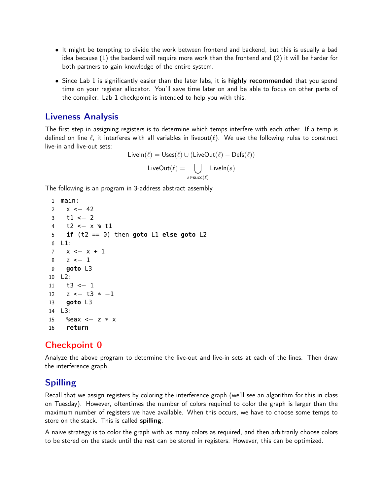- It might be tempting to divide the work between frontend and backend, but this is usually a bad idea because (1) the backend will require more work than the frontend and (2) it will be harder for both partners to gain knowledge of the entire system.
- Since Lab 1 is significantly easier than the later labs, it is highly recommended that you spend time on your register allocator. You'll save time later on and be able to focus on other parts of the compiler. Lab 1 checkpoint is intended to help you with this.

### Liveness Analysis

The first step in assigning registers is to determine which temps interfere with each other. If a temp is defined on line  $\ell$ , it interferes with all variables in liveout( $\ell$ ). We use the following rules to construct live-in and live-out sets:

```
LiveIn(\ell) = Uses(\ell) ∪ (LiveOut(\ell) – Defs(\ell))
         LiveOut(\ell) = |
                           s∈succ(\ell)\mathsf{LiveIn}(s)
```
The following is an program in 3-address abstract assembly.

```
1 main:
2 x \le -423 t1 <− 2
4 t2 <− x % t1
5 if (t2 == 0) then goto L1 else goto L2
6 L1:
7 x \le -x + 18 z <− 1
9 goto L3
10 L2:
11 t3 <− 1
12 z \le -13 \times -113 goto L3
14 L3:
15 %eax <− z * x
16 return
```
# Checkpoint 0

Analyze the above program to determine the live-out and live-in sets at each of the lines. Then draw the interference graph.

# Spilling

Recall that we assign registers by coloring the interference graph (we'll see an algorithm for this in class on Tuesday). However, oftentimes the number of colors required to color the graph is larger than the maximum number of registers we have available. When this occurs, we have to choose some temps to store on the stack. This is called spilling.

A naive strategy is to color the graph with as many colors as required, and then arbitrarily choose colors to be stored on the stack until the rest can be stored in registers. However, this can be optimized.